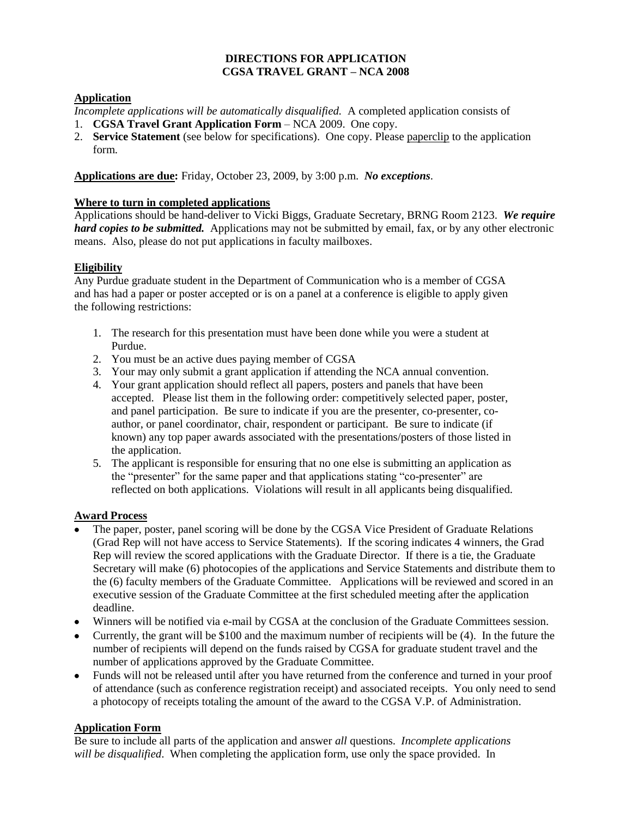#### **DIRECTIONS FOR APPLICATION CGSA TRAVEL GRANT – NCA 2008**

#### **Application**

*Incomplete applications will be automatically disqualified.* A completed application consists of

- 1. **CGSA Travel Grant Application Form** NCA 2009. One copy.
- 2. **Service Statement** (see below for specifications). One copy. Please paperclip to the application form.

## **Applications are due:** Friday, October 23, 2009, by 3:00 p.m. *No exceptions*.

### **Where to turn in completed applications**

Applications should be hand-deliver to Vicki Biggs, Graduate Secretary, BRNG Room 2123. *We require hard copies to be submitted.* Applications may not be submitted by email, fax, or by any other electronic means. Also, please do not put applications in faculty mailboxes.

## **Eligibility**

Any Purdue graduate student in the Department of Communication who is a member of CGSA and has had a paper or poster accepted or is on a panel at a conference is eligible to apply given the following restrictions:

- 1. The research for this presentation must have been done while you were a student at Purdue.
- 2. You must be an active dues paying member of CGSA
- 3. Your may only submit a grant application if attending the NCA annual convention.
- 4. Your grant application should reflect all papers, posters and panels that have been accepted. Please list them in the following order: competitively selected paper, poster, and panel participation. Be sure to indicate if you are the presenter, co-presenter, coauthor, or panel coordinator, chair, respondent or participant. Be sure to indicate (if known) any top paper awards associated with the presentations/posters of those listed in the application.
- 5. The applicant is responsible for ensuring that no one else is submitting an application as the "presenter" for the same paper and that applications stating "co-presenter" are reflected on both applications. Violations will result in all applicants being disqualified.

## **Award Process**

- The paper, poster, panel scoring will be done by the CGSA Vice President of Graduate Relations (Grad Rep will not have access to Service Statements). If the scoring indicates 4 winners, the Grad Rep will review the scored applications with the Graduate Director. If there is a tie, the Graduate Secretary will make (6) photocopies of the applications and Service Statements and distribute them to the (6) faculty members of the Graduate Committee. Applications will be reviewed and scored in an executive session of the Graduate Committee at the first scheduled meeting after the application deadline.
- Winners will be notified via e-mail by CGSA at the conclusion of the Graduate Committees session.
- Currently, the grant will be \$100 and the maximum number of recipients will be (4). In the future the number of recipients will depend on the funds raised by CGSA for graduate student travel and the number of applications approved by the Graduate Committee.
- Funds will not be released until after you have returned from the conference and turned in your proof of attendance (such as conference registration receipt) and associated receipts. You only need to send a photocopy of receipts totaling the amount of the award to the CGSA V.P. of Administration.

## **Application Form**

Be sure to include all parts of the application and answer *all* questions. *Incomplete applications will be disqualified*. When completing the application form, use only the space provided. In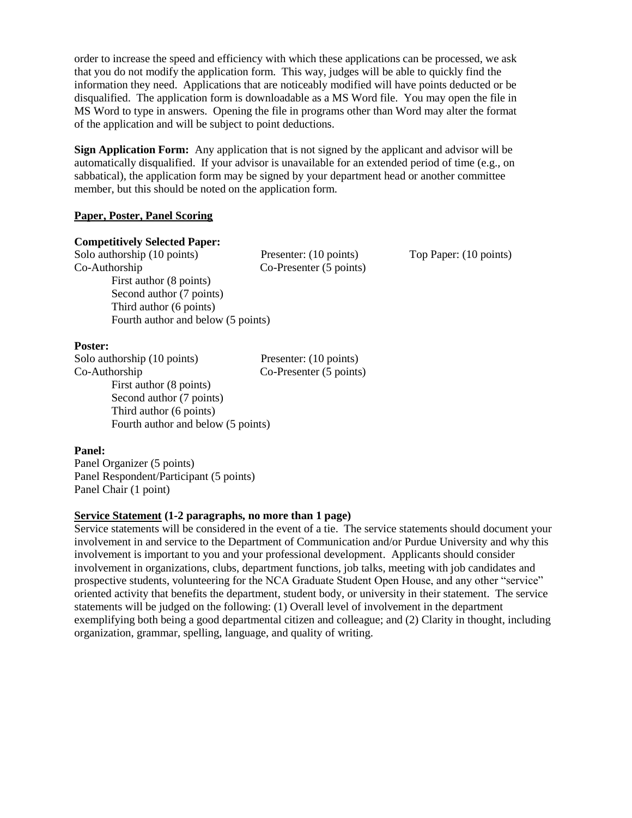order to increase the speed and efficiency with which these applications can be processed, we ask that you do not modify the application form. This way, judges will be able to quickly find the information they need. Applications that are noticeably modified will have points deducted or be disqualified. The application form is downloadable as a MS Word file. You may open the file in MS Word to type in answers. Opening the file in programs other than Word may alter the format of the application and will be subject to point deductions.

**Sign Application Form:** Any application that is not signed by the applicant and advisor will be automatically disqualified. If your advisor is unavailable for an extended period of time (e.g., on sabbatical), the application form may be signed by your department head or another committee member, but this should be noted on the application form.

#### **Paper, Poster, Panel Scoring**

## **Competitively Selected Paper:**

Solo authorship (10 points) Presenter: (10 points) Top Paper: (10 points) Co-Authorship Co-Presenter (5 points) First author (8 points) Second author (7 points) Third author (6 points) Fourth author and below (5 points)

#### **Poster:**

Solo authorship (10 points) Presenter: (10 points) Co-Authorship Co-Presenter (5 points) First author (8 points) Second author (7 points) Third author (6 points) Fourth author and below (5 points)

#### **Panel:**

Panel Organizer (5 points) Panel Respondent/Participant (5 points) Panel Chair (1 point)

#### **Service Statement (1-2 paragraphs, no more than 1 page)**

Service statements will be considered in the event of a tie. The service statements should document your involvement in and service to the Department of Communication and/or Purdue University and why this involvement is important to you and your professional development. Applicants should consider involvement in organizations, clubs, department functions, job talks, meeting with job candidates and prospective students, volunteering for the NCA Graduate Student Open House, and any other "service" oriented activity that benefits the department, student body, or university in their statement. The service statements will be judged on the following: (1) Overall level of involvement in the department exemplifying both being a good departmental citizen and colleague; and (2) Clarity in thought, including organization, grammar, spelling, language, and quality of writing.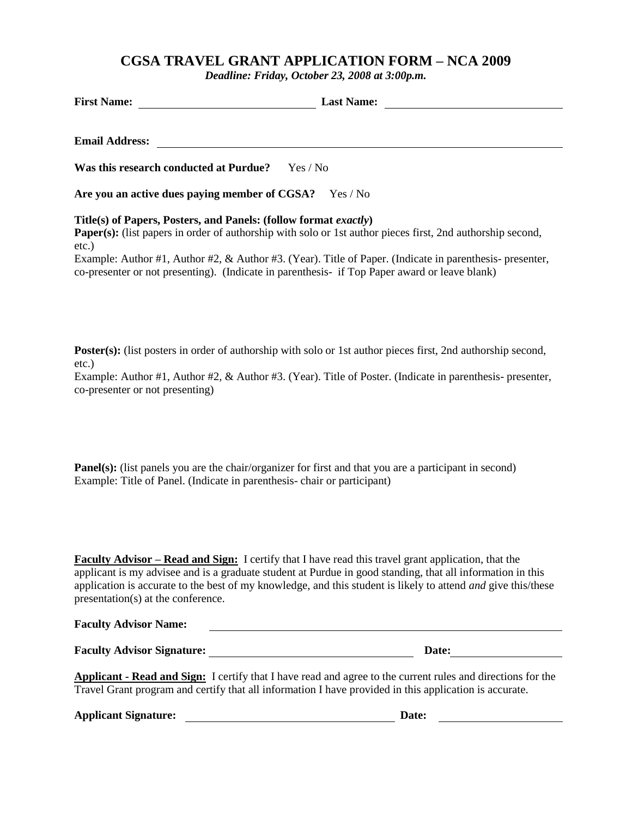## **CGSA TRAVEL GRANT APPLICATION FORM – NCA 2009**

*Deadline: Friday, October 23, 2008 at 3:00p.m.*

| <b>First Name:</b>                                                        | <b>Last Name:</b>                                                                                                 |
|---------------------------------------------------------------------------|-------------------------------------------------------------------------------------------------------------------|
| <b>Email Address:</b>                                                     |                                                                                                                   |
| Was this research conducted at Purdue?                                    | Yes / No                                                                                                          |
| Are you an active dues paying member of CGSA?                             | Yes / No                                                                                                          |
| Title(s) of Papers, Posters, and Panels: (follow format exactly)<br>etc.) | <b>Paper(s):</b> (list papers in order of authorship with solo or 1st author pieces first, 2nd authorship second, |
|                                                                           | Example: Author #1, Author #2, & Author #3. (Year). Title of Paper. (Indicate in parenthesis- presenter,          |

co-presenter or not presenting). (Indicate in parenthesis- if Top Paper award or leave blank)

**Poster(s):** (list posters in order of authorship with solo or 1st author pieces first, 2nd authorship second, etc.)

Example: Author #1, Author #2, & Author #3. (Year). Title of Poster. (Indicate in parenthesis- presenter, co-presenter or not presenting)

**Panel(s):** (list panels you are the chair/organizer for first and that you are a participant in second) Example: Title of Panel. (Indicate in parenthesis- chair or participant)

**Faculty Advisor – Read and Sign:** I certify that I have read this travel grant application, that the applicant is my advisee and is a graduate student at Purdue in good standing, that all information in this application is accurate to the best of my knowledge, and this student is likely to attend *and* give this/these presentation(s) at the conference.

| <b>Faculty Advisor Name:</b>      |       |
|-----------------------------------|-------|
|                                   |       |
| <b>Faculty Advisor Signature:</b> | Date: |

**Applicant - Read and Sign:** I certify that I have read and agree to the current rules and directions for the Travel Grant program and certify that all information I have provided in this application is accurate.

**Applicant Signature: Date:**